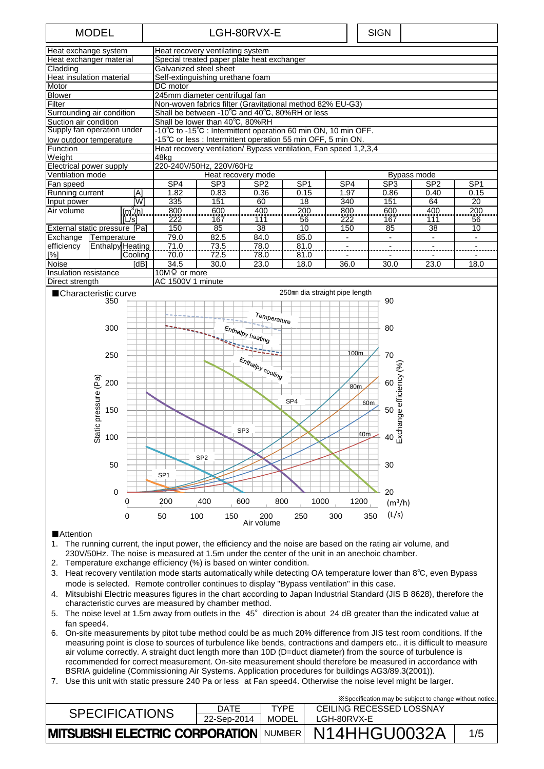# MODEL | LGH-80RVX-E | SIGN

| Heat exchange system          |                  | Heat recovery ventilating system |                                                                  |                                                                      |                 |                 |      |      |                 |                 |  |  |
|-------------------------------|------------------|----------------------------------|------------------------------------------------------------------|----------------------------------------------------------------------|-----------------|-----------------|------|------|-----------------|-----------------|--|--|
| Heat exchanger material       |                  |                                  | Special treated paper plate heat exchanger                       |                                                                      |                 |                 |      |      |                 |                 |  |  |
| Cladding                      |                  |                                  | Galvanized steel sheet                                           |                                                                      |                 |                 |      |      |                 |                 |  |  |
| Heat insulation material      |                  |                                  |                                                                  | Self-extinguishing urethane foam                                     |                 |                 |      |      |                 |                 |  |  |
| Motor                         |                  |                                  | DC motor                                                         |                                                                      |                 |                 |      |      |                 |                 |  |  |
| <b>Blower</b>                 |                  |                                  | 245mm diameter centrifugal fan                                   |                                                                      |                 |                 |      |      |                 |                 |  |  |
| Filter                        |                  |                                  | Non-woven fabrics filter (Gravitational method 82% EU-G3)        |                                                                      |                 |                 |      |      |                 |                 |  |  |
| Surrounding air condition     |                  |                                  |                                                                  | Shall be between -10 $^{\circ}$ C and 40 $^{\circ}$ C, 80%RH or less |                 |                 |      |      |                 |                 |  |  |
| Suction air condition         |                  |                                  | Shall be lower than 40°C, 80%RH                                  |                                                                      |                 |                 |      |      |                 |                 |  |  |
| Supply fan operation under    |                  |                                  | -10°C to -15°C : Intermittent operation 60 min ON, 10 min OFF.   |                                                                      |                 |                 |      |      |                 |                 |  |  |
| low outdoor temperature       |                  |                                  | -15°C or less : Intermittent operation 55 min OFF, 5 min ON.     |                                                                      |                 |                 |      |      |                 |                 |  |  |
| Function                      |                  |                                  | Heat recovery ventilation/ Bypass ventilation, Fan speed 1,2,3,4 |                                                                      |                 |                 |      |      |                 |                 |  |  |
| Weight                        |                  | 48ka                             |                                                                  |                                                                      |                 |                 |      |      |                 |                 |  |  |
| Electrical power supply       |                  | 220-240V/50Hz, 220V/60Hz         |                                                                  |                                                                      |                 |                 |      |      |                 |                 |  |  |
| Ventilation mode              |                  |                                  | Bypass mode<br>Heat recovery mode                                |                                                                      |                 |                 |      |      |                 |                 |  |  |
| Fan speed                     |                  |                                  | SP4                                                              | SP <sub>3</sub>                                                      | SP <sub>2</sub> | SP <sub>1</sub> | SP4  | SP3  | SP <sub>2</sub> | SP <sub>1</sub> |  |  |
| Running current               |                  | [A]                              | 1.82                                                             | 0.83                                                                 | 0.36            | 0.15            | 1.97 | 0.86 | 0.40            | 0.15            |  |  |
| Input power                   |                  | [W]                              | 335                                                              | 151                                                                  | 60              | 18              | 340  | 151  | 64              | 20              |  |  |
| Air volume                    |                  | $\sqrt{m^3/h}$                   | 800                                                              | 600                                                                  | 400             | 200             | 800  | 600  | 400             | 200             |  |  |
| [L/s]                         |                  | 222                              | 167                                                              | 111                                                                  | 56              | 222             | 167  | 111  | 56              |                 |  |  |
| External static pressure [Pa] |                  | 150                              | 85                                                               | 38                                                                   | 10              | 150             | 85   | 38   | 10              |                 |  |  |
| Exchange                      | Temperature      |                                  | 79.0                                                             | 82.5                                                                 | 84.0            | 85.0            | ٠    |      |                 |                 |  |  |
| efficiency                    | Enthalpy Heating |                                  | $\frac{71.0}{ }$                                                 | $\frac{73.5}{2}$                                                     | 78.0            | 81.0            |      |      |                 |                 |  |  |
| [%]                           |                  | Cooling                          | 70.0                                                             | 72.5                                                                 | 78.0            | 81.0            |      |      |                 |                 |  |  |
| <b>Noise</b><br>[dB]          |                  | 34.5                             | 30.0                                                             | 23.0                                                                 | 18.0            | 36.0            | 30.0 | 23.0 | 18.0            |                 |  |  |
| Insulation resistance         |                  |                                  | $10M\Omega$ or more                                              |                                                                      |                 |                 |      |      |                 |                 |  |  |
| Direct strength               |                  | AC 1500V 1 minute                |                                                                  |                                                                      |                 |                 |      |      |                 |                 |  |  |



# ■Attention

- 1. The running current, the input power, the efficiency and the noise are based on the rating air volume, and 230V/50Hz. The noise is measured at 1.5m under the center of the unit in an anechoic chamber.
- 2. Temperature exchange efficiency (%) is based on winter condition.
- 3. Heat recovery ventilation mode starts automatically while detecting OA temperature lower than 8℃, even Bypass mode is selected. Remote controller continues to display "Bypass ventilation" in this case.
- 4. Mitsubishi Electric measures figures in the chart according to Japan Industrial Standard (JIS B 8628), therefore the characteristic curves are measured by chamber method.
- 5. The noise level at 1.5m away from outlets in the 45° direction is about 24 dB greater than the indicated value at fan speed4.
- 6. On-site measurements by pitot tube method could be as much 20% difference from JIS test room conditions. If the measuring point is close to sources of turbulence like bends, contractions and dampers etc., it is difficult to measure air volume correctly. A straight duct length more than 10D (D=duct diameter) from the source of turbulence is recommended for correct measurement. On-site measurement should therefore be measured in accordance with BSRIA guideline (Commissioning Air Systems. Application procedures for buildings AG3/89.3(2001)).
- 7. Use this unit with static pressure 240 Pa or less at Fan speed4. Otherwise the noise level might be larger.

| *Specification may be subject to change without notice.    |             |             |                          |     |  |  |
|------------------------------------------------------------|-------------|-------------|--------------------------|-----|--|--|
| <b>SPECIFICATIONS</b>                                      | <b>DATE</b> | <b>TYPF</b> | CEILING RECESSED LOSSNAY |     |  |  |
|                                                            | 22-Sep-2014 | MODEL       | LGH-80RVX-E              |     |  |  |
| <b>MITSUBISHI ELECTRIC CORPORATION NUMBER N14HHGU0032A</b> |             |             |                          | 1/5 |  |  |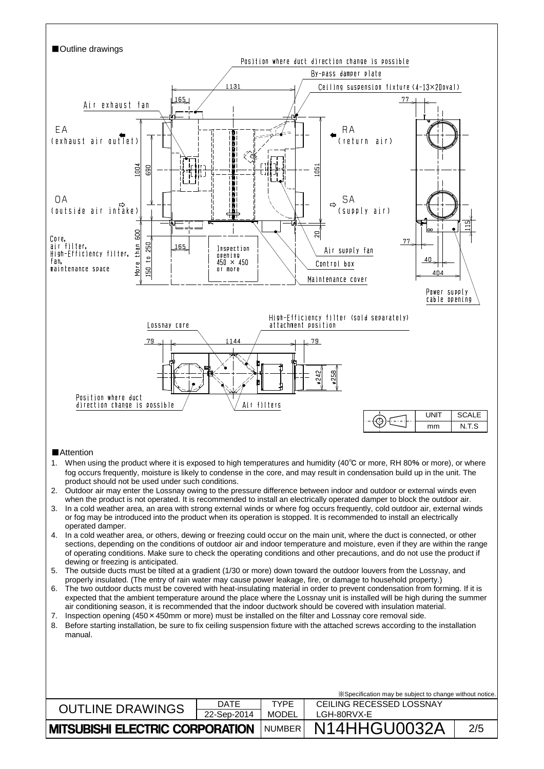

| <b>MITSUBISHI ELECTRIC CORPORATION   NUMBER  </b> |             |             | <b>N14HHGU0032A</b>                                      | 2/5 |
|---------------------------------------------------|-------------|-------------|----------------------------------------------------------|-----|
|                                                   | 22-Sep-2014 | MODEL       | LGH-80RVX-E                                              |     |
| <b>OUTLINE DRAWINGS</b>                           | DATE        | <b>TYPF</b> | CEILING RECESSED LOSSNAY                                 |     |
|                                                   |             |             | X Specification may be subject to change without notice. |     |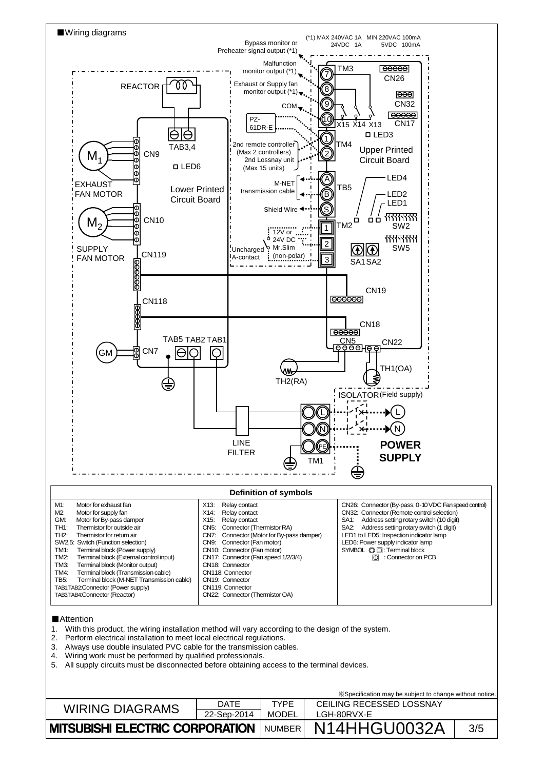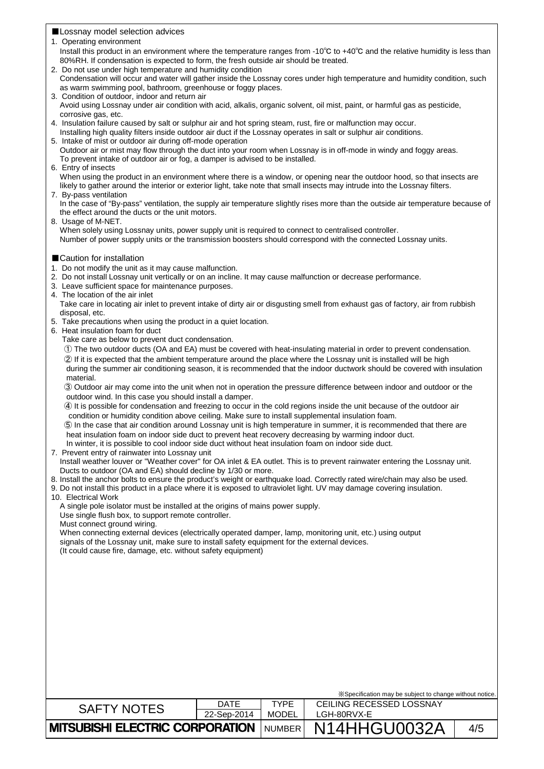# ■Lossnay model selection advices

- 1. Operating environment
- Install this product in an environment where the temperature ranges from -10℃ to +40℃ and the relative humidity is less than 80%RH. If condensation is expected to form, the fresh outside air should be treated.
- 2. Do not use under high temperature and humidity condition
- Condensation will occur and water will gather inside the Lossnay cores under high temperature and humidity condition, such as warm swimming pool, bathroom, greenhouse or foggy places.
- 3. Condition of outdoor, indoor and return air Avoid using Lossnay under air condition with acid, alkalis, organic solvent, oil mist, paint, or harmful gas as pesticide, corrosive gas, etc.
- 4. Insulation failure caused by salt or sulphur air and hot spring steam, rust, fire or malfunction may occur.
- Installing high quality filters inside outdoor air duct if the Lossnay operates in salt or sulphur air conditions.
- 5. Intake of mist or outdoor air during off-mode operation Outdoor air or mist may flow through the duct into your room when Lossnay is in off-mode in windy and foggy areas. To prevent intake of outdoor air or fog, a damper is advised to be installed.
- 6. Entry of insects

When using the product in an environment where there is a window, or opening near the outdoor hood, so that insects are likely to gather around the interior or exterior light, take note that small insects may intrude into the Lossnay filters. 7. By-pass ventilation

- In the case of "By-pass" ventilation, the supply air temperature slightly rises more than the outside air temperature because of the effect around the ducts or the unit motors.
- 8. Usage of M-NET. When solely using Lossnay units, power supply unit is required to connect to centralised controller. Number of power supply units or the transmission boosters should correspond with the connected Lossnay units.
- ■Caution for installation
- 1. Do not modify the unit as it may cause malfunction.
- 2. Do not install Lossnay unit vertically or on an incline. It may cause malfunction or decrease performance.
- 3. Leave sufficient space for maintenance purposes.
- 4. The location of the air inlet

| Take care in locating air inlet to prevent intake of dirty air or disgusting smell from exhaust gas of factory, air from rubbish |  |
|----------------------------------------------------------------------------------------------------------------------------------|--|
| disposal, etc.                                                                                                                   |  |

- 5. Take precautions when using the product in a quiet location.
- 6. Heat insulation foam for duct
	- Take care as below to prevent duct condensation.
	- ① The two outdoor ducts (OA and EA) must be covered with heat-insulating material in order to prevent condensation.

② If it is expected that the ambient temperature around the place where the Lossnay unit is installed will be high during the summer air conditioning season, it is recommended that the indoor ductwork should be covered with insulation material.

③ Outdoor air may come into the unit when not in operation the pressure difference between indoor and outdoor or the outdoor wind. In this case you should install a damper.

④ It is possible for condensation and freezing to occur in the cold regions inside the unit because of the outdoor air condition or humidity condition above ceiling. Make sure to install supplemental insulation foam.

⑤ In the case that air condition around Lossnay unit is high temperature in summer, it is recommended that there are heat insulation foam on indoor side duct to prevent heat recovery decreasing by warming indoor duct. In winter, it is possible to cool indoor side duct without heat insulation foam on indoor side duct.

- 7. Prevent entry of rainwater into Lossnay unit
- Install weather louver or "Weather cover" for OA inlet & EA outlet. This is to prevent rainwater entering the Lossnay unit. Ducts to outdoor (OA and EA) should decline by 1/30 or more.

8. Install the anchor bolts to ensure the product's weight or earthquake load. Correctly rated wire/chain may also be used.

- 9. Do not install this product in a place where it is exposed to ultraviolet light. UV may damage covering insulation.
- 10. Electrical Work

A single pole isolator must be installed at the origins of mains power supply.

- Use single flush box, to support remote controller.
- Must connect ground wiring.

When connecting external devices (electrically operated damper, lamp, monitoring unit, etc.) using output signals of the Lossnay unit, make sure to install safety equipment for the external devices. (It could cause fire, damage, etc. without safety equipment)

| X Specification may be subject to change without notice. |             |             |                          |     |  |  |
|----------------------------------------------------------|-------------|-------------|--------------------------|-----|--|--|
| <b>SAFTY NOTES</b>                                       | <b>DATE</b> | <b>TYPF</b> | CEILING RECESSED LOSSNAY |     |  |  |
|                                                          | 22-Sep-2014 | MODEL       | LGH-80RVX-E              |     |  |  |
| <b>MITSUBISHI ELECTRIC CORPORATION   NUMBER  </b>        |             |             | N14HHGU0032A             | 4/5 |  |  |